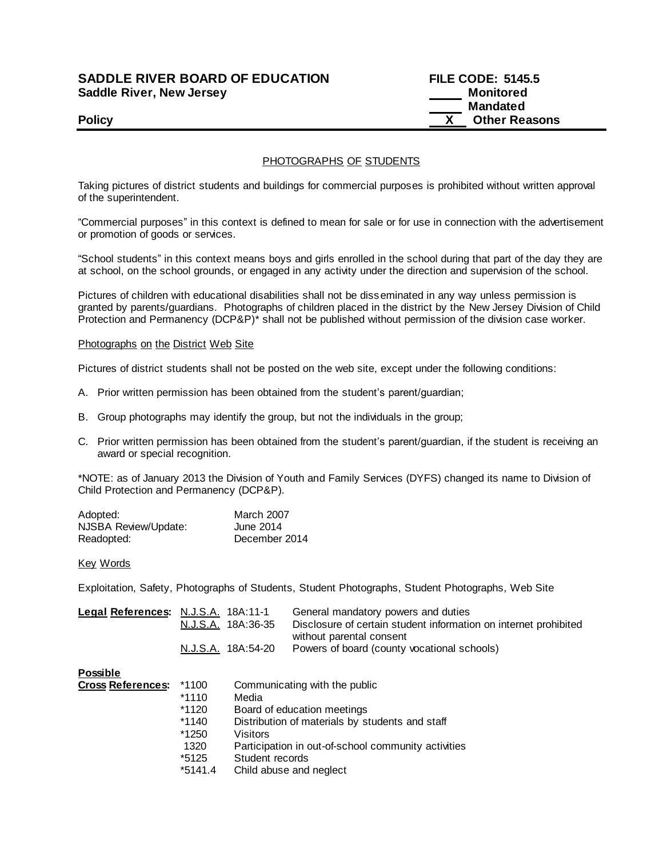# **SADDLE RIVER BOARD OF EDUCATION FILE CODE: 5145.5 Saddle River, New Jersey Monitored Example 2018 19 No. 2018 19:30 Monitored**

# **Mandated Policy Policy Policy COLLEGE**

## PHOTOGRAPHS OF STUDENTS

Taking pictures of district students and buildings for commercial purposes is prohibited without written approval of the superintendent.

"Commercial purposes" in this context is defined to mean for sale or for use in connection with the advertisement or promotion of goods or services.

"School students" in this context means boys and girls enrolled in the school during that part of the day they are at school, on the school grounds, or engaged in any activity under the direction and supervision of the school.

Pictures of children with educational disabilities shall not be disseminated in any way unless permission is granted by parents/guardians. Photographs of children placed in the district by the New Jersey Division of Child Protection and Permanency (DCP&P)\* shall not be published without permission of the division case worker.

#### Photographs on the District Web Site

Pictures of district students shall not be posted on the web site, except under the following conditions:

- A. Prior written permission has been obtained from the student's parent/guardian;
- B. Group photographs may identify the group, but not the individuals in the group;
- C. Prior written permission has been obtained from the student's parent/guardian, if the student is receiving an award or special recognition.

\*NOTE: as of January 2013 the Division of Youth and Family Services (DYFS) changed its name to Division of Child Protection and Permanency (DCP&P).

| Adopted:             | <b>March 2007</b> |
|----------------------|-------------------|
| NJSBA Review/Update: | June 2014         |
| Readopted:           | December 2014     |

#### Key Words

Exploitation, Safety, Photographs of Students, Student Photographs, Student Photographs, Web Site

| Legal References: N.J.S.A. 18A:11-1 |                    | General mandatory powers and duties                              |
|-------------------------------------|--------------------|------------------------------------------------------------------|
|                                     | N.J.S.A. 18A:36-35 | Disclosure of certain student information on internet prohibited |
|                                     |                    | without parental consent                                         |
|                                     | N.J.S.A. 18A:54-20 | Powers of board (county vocational schools)                      |
|                                     |                    |                                                                  |

### **Possible**

| <b>Cross References:</b> | *1100     | Communicating with the public                       |
|--------------------------|-----------|-----------------------------------------------------|
|                          | $*1110$   | Media                                               |
|                          | *1120     | Board of education meetings                         |
|                          | $*1140$   | Distribution of materials by students and staff     |
|                          | *1250     | Visitors                                            |
|                          | 1320      | Participation in out-of-school community activities |
|                          | *5125     | Student records                                     |
|                          | $*5141.4$ | Child abuse and neglect                             |